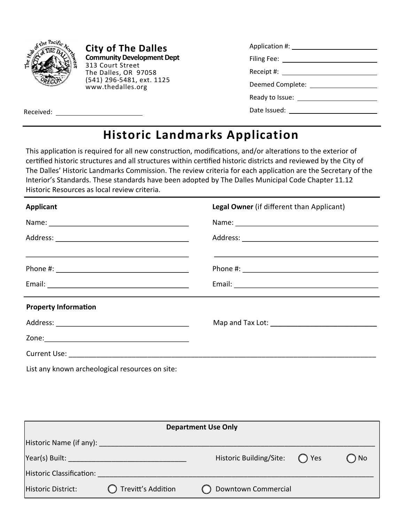